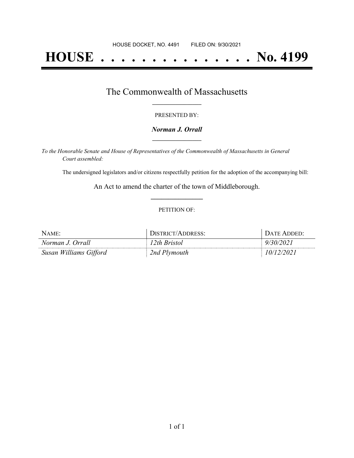# **HOUSE . . . . . . . . . . . . . . . No. 4199**

### The Commonwealth of Massachusetts **\_\_\_\_\_\_\_\_\_\_\_\_\_\_\_\_\_**

#### PRESENTED BY:

#### *Norman J. Orrall* **\_\_\_\_\_\_\_\_\_\_\_\_\_\_\_\_\_**

*To the Honorable Senate and House of Representatives of the Commonwealth of Massachusetts in General Court assembled:*

The undersigned legislators and/or citizens respectfully petition for the adoption of the accompanying bill:

An Act to amend the charter of the town of Middleborough. **\_\_\_\_\_\_\_\_\_\_\_\_\_\_\_**

#### PETITION OF:

| NAME:                  | JISTRICT/ADDRESS: | $\Gamma$ $\Delta$ Theorem $\Gamma$ |
|------------------------|-------------------|------------------------------------|
| Norman J. Orrall       | 2th Bristol       |                                    |
| Susan Williams Gifford | 2nd Plymouth      | 202                                |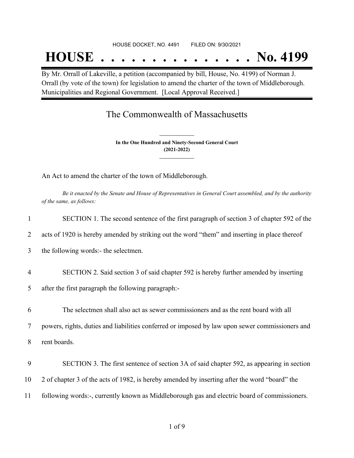#### HOUSE DOCKET, NO. 4491 FILED ON: 9/30/2021

## **HOUSE . . . . . . . . . . . . . . . No. 4199**

By Mr. Orrall of Lakeville, a petition (accompanied by bill, House, No. 4199) of Norman J. Orrall (by vote of the town) for legislation to amend the charter of the town of Middleborough. Municipalities and Regional Government. [Local Approval Received.]

## The Commonwealth of Massachusetts

**In the One Hundred and Ninety-Second General Court (2021-2022) \_\_\_\_\_\_\_\_\_\_\_\_\_\_\_**

**\_\_\_\_\_\_\_\_\_\_\_\_\_\_\_**

An Act to amend the charter of the town of Middleborough.

Be it enacted by the Senate and House of Representatives in General Court assembled, and by the authority *of the same, as follows:*

| 1              | SECTION 1. The second sentence of the first paragraph of section 3 of chapter 592 of the        |
|----------------|-------------------------------------------------------------------------------------------------|
| 2              | acts of 1920 is hereby amended by striking out the word "them" and inserting in place thereof   |
| 3              | the following words:- the selectmen.                                                            |
| $\overline{4}$ | SECTION 2. Said section 3 of said chapter 592 is hereby further amended by inserting            |
| 5              | after the first paragraph the following paragraph:-                                             |
| 6              | The selectmen shall also act as sewer commissioners and as the rent board with all              |
| 7              | powers, rights, duties and liabilities conferred or imposed by law upon sewer commissioners and |
| 8              | rent boards.                                                                                    |
| 9              | SECTION 3. The first sentence of section 3A of said chapter 592, as appearing in section        |
| 10             | 2 of chapter 3 of the acts of 1982, is hereby amended by inserting after the word "board" the   |
| 11             | following words:-, currently known as Middleborough gas and electric board of commissioners.    |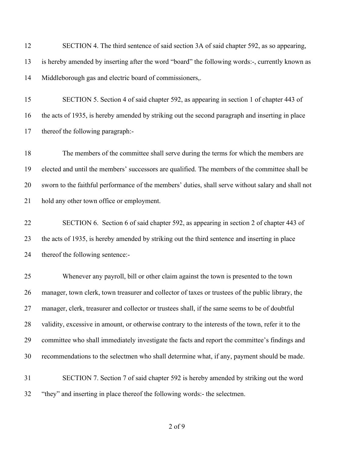| 12 | SECTION 4. The third sentence of said section 3A of said chapter 592, as so appearing,             |
|----|----------------------------------------------------------------------------------------------------|
| 13 | is hereby amended by inserting after the word "board" the following words:-, currently known as    |
| 14 | Middleborough gas and electric board of commissioners,.                                            |
| 15 | SECTION 5. Section 4 of said chapter 592, as appearing in section 1 of chapter 443 of              |
| 16 | the acts of 1935, is hereby amended by striking out the second paragraph and inserting in place    |
| 17 | thereof the following paragraph:-                                                                  |
| 18 | The members of the committee shall serve during the terms for which the members are                |
| 19 | elected and until the members' successors are qualified. The members of the committee shall be     |
| 20 | sworn to the faithful performance of the members' duties, shall serve without salary and shall not |
| 21 | hold any other town office or employment.                                                          |
| 22 | SECTION 6. Section 6 of said chapter 592, as appearing in section 2 of chapter 443 of              |
| 23 | the acts of 1935, is hereby amended by striking out the third sentence and inserting in place      |
| 24 | thereof the following sentence:-                                                                   |
| 25 | Whenever any payroll, bill or other claim against the town is presented to the town                |
| 26 | manager, town clerk, town treasurer and collector of taxes or trustees of the public library, the  |
| 27 | manager, clerk, treasurer and collector or trustees shall, if the same seems to be of doubtful     |
| 28 | validity, excessive in amount, or otherwise contrary to the interests of the town, refer it to the |
| 29 | committee who shall immediately investigate the facts and report the committee's findings and      |
| 30 | recommendations to the selectmen who shall determine what, if any, payment should be made.         |
| 31 | SECTION 7. Section 7 of said chapter 592 is hereby amended by striking out the word                |
| 32 | "they" and inserting in place thereof the following words:- the selectmen.                         |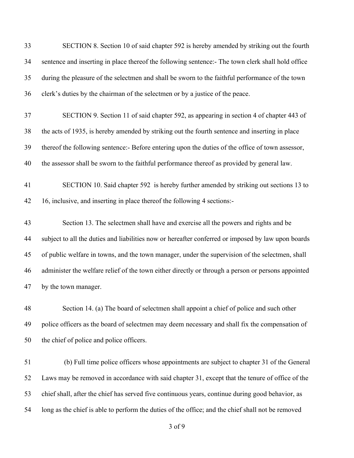| 33 | SECTION 8. Section 10 of said chapter 592 is hereby amended by striking out the fourth             |
|----|----------------------------------------------------------------------------------------------------|
| 34 | sentence and inserting in place thereof the following sentence:- The town clerk shall hold office  |
| 35 | during the pleasure of the selectmen and shall be sworn to the faithful performance of the town    |
| 36 | clerk's duties by the chairman of the selectmen or by a justice of the peace.                      |
| 37 | SECTION 9. Section 11 of said chapter 592, as appearing in section 4 of chapter 443 of             |
| 38 | the acts of 1935, is hereby amended by striking out the fourth sentence and inserting in place     |
| 39 | thereof the following sentence:- Before entering upon the duties of the office of town assessor,   |
| 40 | the assessor shall be sworn to the faithful performance thereof as provided by general law.        |
| 41 | SECTION 10. Said chapter 592 is hereby further amended by striking out sections 13 to              |
| 42 | 16, inclusive, and inserting in place thereof the following 4 sections:-                           |
| 43 | Section 13. The selectmen shall have and exercise all the powers and rights and be                 |
| 44 | subject to all the duties and liabilities now or hereafter conferred or imposed by law upon boards |
| 45 | of public welfare in towns, and the town manager, under the supervision of the selectmen, shall    |
| 46 | administer the welfare relief of the town either directly or through a person or persons appointed |
| 47 | by the town manager.                                                                               |
| 48 | Section 14. (a) The board of selectmen shall appoint a chief of police and such other              |
| 49 | police officers as the board of selectmen may deem necessary and shall fix the compensation of     |
| 50 | the chief of police and police officers.                                                           |
| 51 | (b) Full time police officers whose appointments are subject to chapter 31 of the General          |
| 52 | Laws may be removed in accordance with said chapter 31, except that the tenure of office of the    |
| 53 | chief shall, after the chief has served five continuous years, continue during good behavior, as   |
| 54 | long as the chief is able to perform the duties of the office; and the chief shall not be removed  |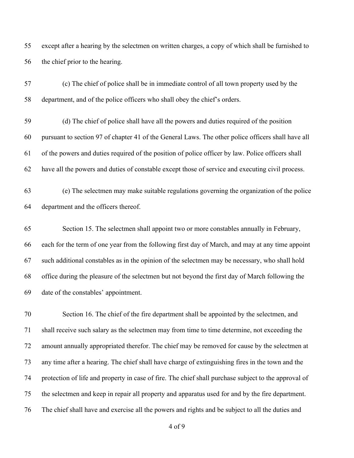except after a hearing by the selectmen on written charges, a copy of which shall be furnished to the chief prior to the hearing.

 (c) The chief of police shall be in immediate control of all town property used by the department, and of the police officers who shall obey the chief's orders.

 (d) The chief of police shall have all the powers and duties required of the position pursuant to section 97 of chapter 41 of the General Laws. The other police officers shall have all of the powers and duties required of the position of police officer by law. Police officers shall have all the powers and duties of constable except those of service and executing civil process.

 (e) The selectmen may make suitable regulations governing the organization of the police department and the officers thereof.

 Section 15. The selectmen shall appoint two or more constables annually in February, each for the term of one year from the following first day of March, and may at any time appoint such additional constables as in the opinion of the selectmen may be necessary, who shall hold office during the pleasure of the selectmen but not beyond the first day of March following the date of the constables' appointment.

 Section 16. The chief of the fire department shall be appointed by the selectmen, and shall receive such salary as the selectmen may from time to time determine, not exceeding the amount annually appropriated therefor. The chief may be removed for cause by the selectmen at any time after a hearing. The chief shall have charge of extinguishing fires in the town and the protection of life and property in case of fire. The chief shall purchase subject to the approval of the selectmen and keep in repair all property and apparatus used for and by the fire department. The chief shall have and exercise all the powers and rights and be subject to all the duties and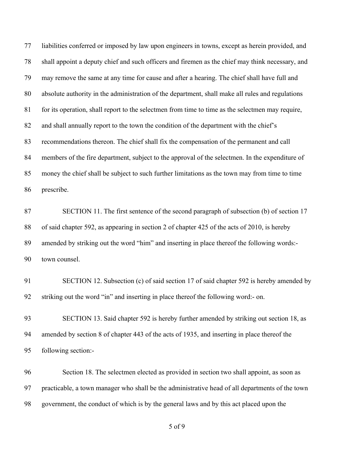liabilities conferred or imposed by law upon engineers in towns, except as herein provided, and shall appoint a deputy chief and such officers and firemen as the chief may think necessary, and may remove the same at any time for cause and after a hearing. The chief shall have full and absolute authority in the administration of the department, shall make all rules and regulations 81 for its operation, shall report to the selectmen from time to time as the selectmen may require, and shall annually report to the town the condition of the department with the chief's recommendations thereon. The chief shall fix the compensation of the permanent and call members of the fire department, subject to the approval of the selectmen. In the expenditure of money the chief shall be subject to such further limitations as the town may from time to time prescribe.

 SECTION 11. The first sentence of the second paragraph of subsection (b) of section 17 of said chapter 592, as appearing in section 2 of chapter 425 of the acts of 2010, is hereby amended by striking out the word "him" and inserting in place thereof the following words:- town counsel.

 SECTION 12. Subsection (c) of said section 17 of said chapter 592 is hereby amended by striking out the word "in" and inserting in place thereof the following word:- on.

 SECTION 13. Said chapter 592 is hereby further amended by striking out section 18, as amended by section 8 of chapter 443 of the acts of 1935, and inserting in place thereof the following section:-

 Section 18. The selectmen elected as provided in section two shall appoint, as soon as practicable, a town manager who shall be the administrative head of all departments of the town government, the conduct of which is by the general laws and by this act placed upon the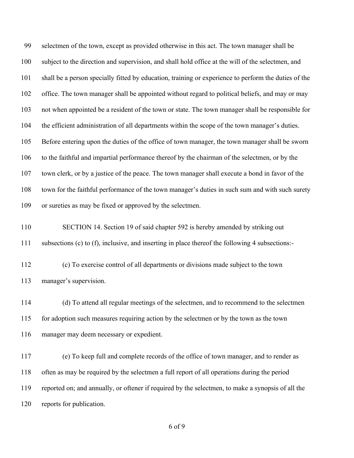selectmen of the town, except as provided otherwise in this act. The town manager shall be subject to the direction and supervision, and shall hold office at the will of the selectmen, and shall be a person specially fitted by education, training or experience to perform the duties of the office. The town manager shall be appointed without regard to political beliefs, and may or may not when appointed be a resident of the town or state. The town manager shall be responsible for the efficient administration of all departments within the scope of the town manager's duties. Before entering upon the duties of the office of town manager, the town manager shall be sworn to the faithful and impartial performance thereof by the chairman of the selectmen, or by the town clerk, or by a justice of the peace. The town manager shall execute a bond in favor of the town for the faithful performance of the town manager's duties in such sum and with such surety or sureties as may be fixed or approved by the selectmen.

 SECTION 14. Section 19 of said chapter 592 is hereby amended by striking out subsections (c) to (f), inclusive, and inserting in place thereof the following 4 subsections:-

 (c) To exercise control of all departments or divisions made subject to the town manager's supervision.

 (d) To attend all regular meetings of the selectmen, and to recommend to the selectmen for adoption such measures requiring action by the selectmen or by the town as the town manager may deem necessary or expedient.

 (e) To keep full and complete records of the office of town manager, and to render as often as may be required by the selectmen a full report of all operations during the period reported on; and annually, or oftener if required by the selectmen, to make a synopsis of all the reports for publication.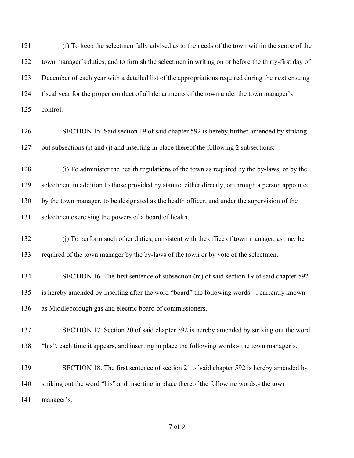(f) To keep the selectmen fully advised as to the needs of the town within the scope of the town manager's duties, and to furnish the selectmen in writing on or before the thirty-first day of December of each year with a detailed list of the appropriations required during the next ensuing fiscal year for the proper conduct of all departments of the town under the town manager's control.

 SECTION 15. Said section 19 of said chapter 592 is hereby further amended by striking out subsections (i) and (j) and inserting in place thereof the following 2 subsections:-

 (i) To administer the health regulations of the town as required by the by-laws, or by the selectmen, in addition to those provided by statute, either directly, or through a person appointed by the town manager, to be designated as the health officer, and under the supervision of the selectmen exercising the powers of a board of health.

- (j) To perform such other duties, consistent with the office of town manager, as may be required of the town manager by the by-laws of the town or by vote of the selectmen.
- SECTION 16. The first sentence of subsection (m) of said section 19 of said chapter 592 is hereby amended by inserting after the word "board" the following words:- , currently known as Middleborough gas and electric board of commissioners.

 SECTION 17. Section 20 of said chapter 592 is hereby amended by striking out the word "his", each time it appears, and inserting in place the following words:- the town manager's.

 SECTION 18. The first sentence of section 21 of said chapter 592 is hereby amended by striking out the word "his" and inserting in place thereof the following words:- the town manager's.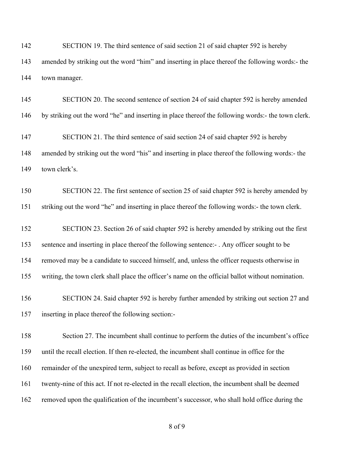SECTION 19. The third sentence of said section 21 of said chapter 592 is hereby amended by striking out the word "him" and inserting in place thereof the following words:- the town manager.

145 SECTION 20. The second sentence of section 24 of said chapter 592 is hereby amended by striking out the word "he" and inserting in place thereof the following words:- the town clerk.

 SECTION 21. The third sentence of said section 24 of said chapter 592 is hereby amended by striking out the word "his" and inserting in place thereof the following words:- the town clerk's.

 SECTION 22. The first sentence of section 25 of said chapter 592 is hereby amended by striking out the word "he" and inserting in place thereof the following words:- the town clerk.

 SECTION 23. Section 26 of said chapter 592 is hereby amended by striking out the first sentence and inserting in place thereof the following sentence:- . Any officer sought to be removed may be a candidate to succeed himself, and, unless the officer requests otherwise in writing, the town clerk shall place the officer's name on the official ballot without nomination.

 SECTION 24. Said chapter 592 is hereby further amended by striking out section 27 and inserting in place thereof the following section:-

 Section 27. The incumbent shall continue to perform the duties of the incumbent's office until the recall election. If then re-elected, the incumbent shall continue in office for the remainder of the unexpired term, subject to recall as before, except as provided in section twenty-nine of this act. If not re-elected in the recall election, the incumbent shall be deemed removed upon the qualification of the incumbent's successor, who shall hold office during the